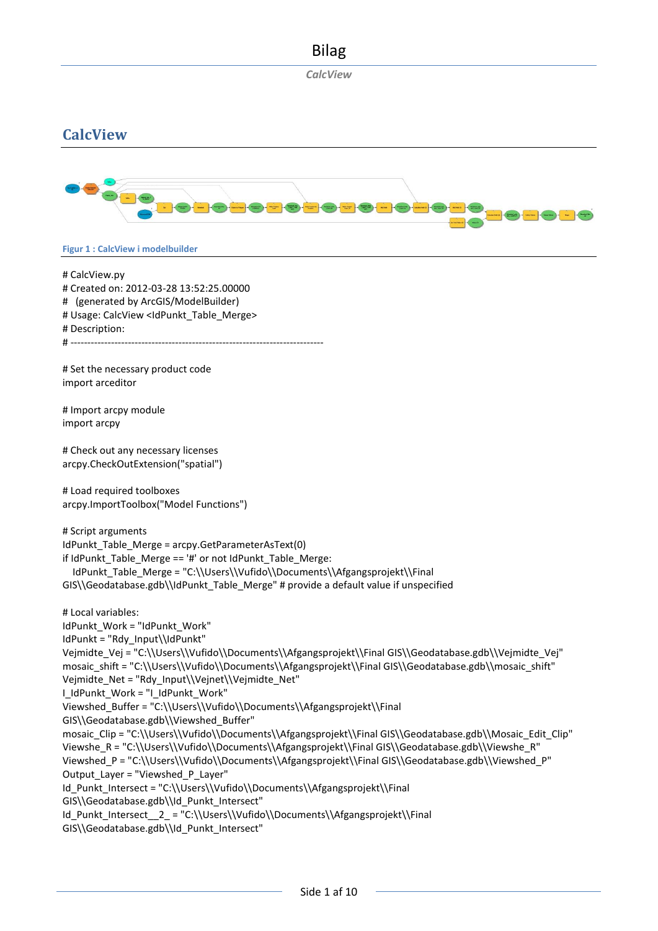*CalcView*

## **CalcView**



#### **Figur 1 : CalcView i modelbuilder**

# CalcView.py # Created on: 2012-03-28 13:52:25.00000 # (generated by ArcGIS/ModelBuilder) # Usage: CalcView <IdPunkt\_Table\_Merge> # Description: # --------------------------------------------------------------------------- # Set the necessary product code import arceditor # Import arcpy module import arcpy # Check out any necessary licenses arcpy.CheckOutExtension("spatial") # Load required toolboxes arcpy.ImportToolbox("Model Functions") # Script arguments IdPunkt\_Table\_Merge = arcpy.GetParameterAsText(0) if IdPunkt Table Merge ==  $4'$  or not IdPunkt Table Merge: IdPunkt\_Table\_Merge = "C:\\Users\\Vufido\\Documents\\Afgangsprojekt\\Final GIS\\Geodatabase.gdb\\IdPunkt\_Table\_Merge" # provide a default value if unspecified # Local variables: IdPunkt\_Work = "IdPunkt\_Work" IdPunkt = "Rdy\_Input\\IdPunkt" Vejmidte\_Vej = "C:\\Users\\Vufido\\Documents\\Afgangsprojekt\\Final GIS\\Geodatabase.gdb\\Vejmidte\_Vej" mosaic\_shift = "C:\\Users\\Vufido\\Documents\\Afgangsprojekt\\Final GIS\\Geodatabase.gdb\\mosaic\_shift" Vejmidte\_Net = "Rdy\_Input\\Vejnet\\Vejmidte\_Net" I\_IdPunkt\_Work = "I\_IdPunkt\_Work" Viewshed\_Buffer = "C:\\Users\\Vufido\\Documents\\Afgangsprojekt\\Final GIS\\Geodatabase.gdb\\Viewshed\_Buffer" mosaic\_Clip = "C:\\Users\\Vufido\\Documents\\Afgangsprojekt\\Final GIS\\Geodatabase.gdb\\Mosaic\_Edit\_Clip" Viewshe\_R = "C:\\Users\\Vufido\\Documents\\Afgangsprojekt\\Final GIS\\Geodatabase.gdb\\Viewshe\_R" Viewshed\_P = "C:\\Users\\Vufido\\Documents\\Afgangsprojekt\\Final GIS\\Geodatabase.gdb\\Viewshed\_P" Output\_Layer = "Viewshed\_P\_Layer" Id\_Punkt\_Intersect = "C:\\Users\\Vufido\\Documents\\Afgangsprojekt\\Final GIS\\Geodatabase.gdb\\Id\_Punkt\_Intersect" Id\_Punkt\_Intersect\_\_2\_ = "C:\\Users\\Vufido\\Documents\\Afgangsprojekt\\Final GIS\\Geodatabase.gdb\\Id\_Punkt\_Intersect"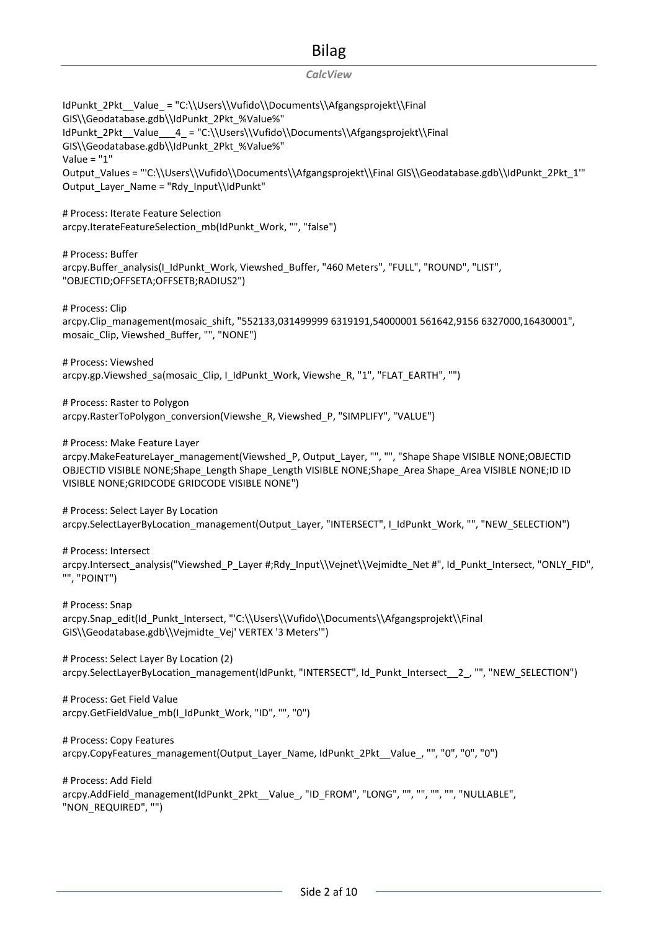#### *CalcView*

IdPunkt\_2Pkt\_Value\_="C:\\Users\\Vufido\\Documents\\Afgangsprojekt\\Final GIS\\Geodatabase.gdb\\IdPunkt\_2Pkt\_%Value%" IdPunkt\_2Pkt\_Value\_\_\_4\_ = "C:\\Users\\Vufido\\Documents\\Afgangsprojekt\\Final GIS\\Geodatabase.gdb\\IdPunkt\_2Pkt\_%Value%" Value = "1" Output\_Values = "'C:\\Users\\Vufido\\Documents\\Afgangsprojekt\\Final GIS\\Geodatabase.gdb\\IdPunkt\_2Pkt\_1'" Output\_Layer\_Name = "Rdy\_Input\\IdPunkt" # Process: Iterate Feature Selection arcpy.IterateFeatureSelection\_mb(IdPunkt\_Work, "", "false") # Process: Buffer arcpy.Buffer\_analysis(I\_IdPunkt\_Work, Viewshed\_Buffer, "460 Meters", "FULL", "ROUND", "LIST", "OBJECTID;OFFSETA;OFFSETB;RADIUS2") # Process: Clip arcpy.Clip\_management(mosaic\_shift, "552133,031499999 6319191,54000001 561642,9156 6327000,16430001", mosaic\_Clip, Viewshed\_Buffer, "", "NONE") # Process: Viewshed arcpy.gp.Viewshed\_sa(mosaic\_Clip, I\_IdPunkt\_Work, Viewshe\_R, "1", "FLAT\_EARTH", "") # Process: Raster to Polygon arcpy.RasterToPolygon\_conversion(Viewshe\_R, Viewshed\_P, "SIMPLIFY", "VALUE") # Process: Make Feature Layer arcpy.MakeFeatureLayer\_management(Viewshed\_P, Output\_Layer, "", "", "Shape Shape VISIBLE NONE;OBJECTID OBJECTID VISIBLE NONE;Shape\_Length Shape\_Length VISIBLE NONE;Shape\_Area Shape\_Area VISIBLE NONE;ID ID VISIBLE NONE;GRIDCODE GRIDCODE VISIBLE NONE") # Process: Select Layer By Location arcpy.SelectLayerByLocation\_management(Output\_Layer, "INTERSECT", I\_IdPunkt\_Work, "", "NEW\_SELECTION") # Process: Intersect arcpy.Intersect\_analysis("Viewshed\_P\_Layer #:Rdy\_Input\\Veinet\\Veimidte\_Net #", Id\_Punkt\_Intersect, "ONLY\_FID", "", "POINT") # Process: Snap arcpy.Snap\_edit(Id\_Punkt\_Intersect, "'C:\\Users\\Vufido\\Documents\\Afgangsprojekt\\Final GIS\\Geodatabase.gdb\\Vejmidte\_Vej' VERTEX '3 Meters'") # Process: Select Layer By Location (2) arcpy.SelectLayerByLocation\_management(IdPunkt, "INTERSECT", Id\_Punkt\_Intersect\_2\_, "", "NEW\_SELECTION") # Process: Get Field Value arcpy.GetFieldValue\_mb(I\_IdPunkt\_Work, "ID", "", "0") # Process: Copy Features arcpy.CopyFeatures\_management(Output\_Layer\_Name, IdPunkt\_2Pkt\_\_Value\_, "", "0", "0", "0") # Process: Add Field arcpy.AddField\_management(IdPunkt\_2Pkt\_\_Value\_, "ID\_FROM", "LONG", "", "", "", "", "NULLABLE", "NON\_REQUIRED", "")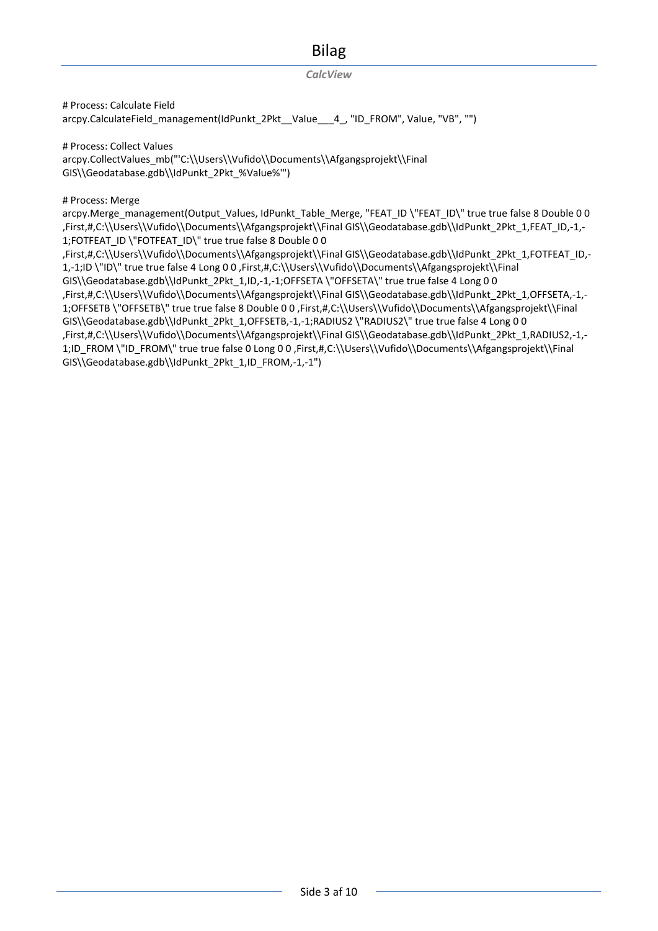#### *CalcView*

# Process: Calculate Field arcpy.CalculateField\_management(IdPunkt\_2Pkt\_Value\_\_4\_, "ID\_FROM", Value, "VB", "")

# Process: Collect Values arcpy.CollectValues\_mb("'C:\\Users\\Vufido\\Documents\\Afgangsprojekt\\Final GIS\\Geodatabase.gdb\\IdPunkt\_2Pkt\_%Value%'")

# Process: Merge

arcpy.Merge\_management(Output\_Values, IdPunkt\_Table\_Merge, "FEAT\_ID \"FEAT\_ID\" true true false 8 Double 0 0 ,First,#,C:\\Users\\Vufido\\Documents\\Afgangsprojekt\\Final GIS\\Geodatabase.gdb\\IdPunkt\_2Pkt\_1,FEAT\_ID,-1,- 1;FOTFEAT\_ID \"FOTFEAT\_ID\" true true false 8 Double 0 0 ,First,#,C:\\Users\\Vufido\\Documents\\Afgangsprojekt\\Final GIS\\Geodatabase.gdb\\IdPunkt\_2Pkt\_1,FOTFEAT\_ID,- 1,-1;ID \"ID\" true true false 4 Long 0 0 ,First,#,C:\\Users\\Vufido\\Documents\\Afgangsprojekt\\Final GIS\\Geodatabase.gdb\\IdPunkt\_2Pkt\_1,ID,-1,-1;OFFSETA \"OFFSETA\" true true false 4 Long 0 0 ,First,#,C:\\Users\\Vufido\\Documents\\Afgangsprojekt\\Final GIS\\Geodatabase.gdb\\IdPunkt\_2Pkt\_1,OFFSETA,-1,- 1;OFFSETB \"OFFSETB\" true true false 8 Double 0 0 ,First,#,C:\\Users\\Vufido\\Documents\\Afgangsprojekt\\Final GIS\\Geodatabase.gdb\\IdPunkt\_2Pkt\_1,OFFSETB,-1,-1;RADIUS2 \"RADIUS2\" true true false 4 Long 0 0 ,First,#,C:\\Users\\Vufido\\Documents\\Afgangsprojekt\\Final GIS\\Geodatabase.gdb\\IdPunkt\_2Pkt\_1,RADIUS2,-1,- 1;ID\_FROM \"ID\_FROM\" true true false 0 Long 0 0 ,First,#,C:\\Users\\Vufido\\Documents\\Afgangsprojekt\\Final GIS\\Geodatabase.gdb\\IdPunkt\_2Pkt\_1,ID\_FROM,-1,-1")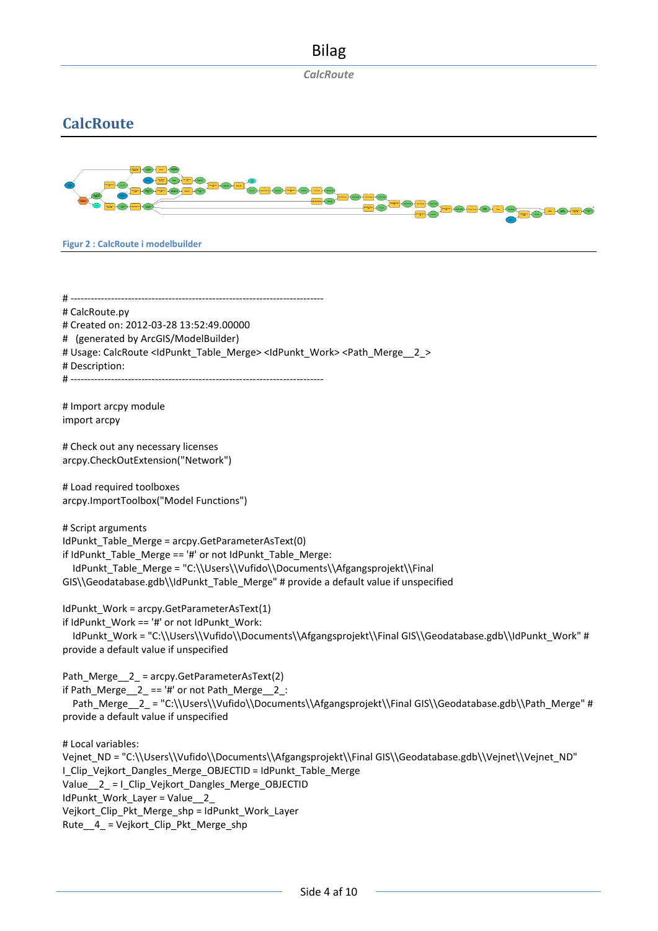*CalcRoute*

## **CalcRoute**



**Figur 2 : CalcRoute i modelbuilder**

# --------------------------------------------------------------------------- # CalcRoute.py # Created on: 2012-03-28 13:52:49.00000 # (generated by ArcGIS/ModelBuilder) # Usage: CalcRoute <IdPunkt\_Table\_Merge> <IdPunkt\_Work> <Path\_Merge\_2\_> # Description: # --------------------------------------------------------------------------- # Import arcpy module import arcpy

# Check out any necessary licenses arcpy.CheckOutExtension("Network")

# Load required toolboxes arcpy.ImportToolbox("Model Functions")

# Script arguments IdPunkt\_Table\_Merge = arcpy.GetParameterAsText(0) if IdPunkt Table Merge == '#' or not IdPunkt Table Merge: IdPunkt\_Table\_Merge = "C:\\Users\\Vufido\\Documents\\Afgangsprojekt\\Final GIS\\Geodatabase.gdb\\IdPunkt\_Table\_Merge" # provide a default value if unspecified

IdPunkt\_Work = arcpy.GetParameterAsText(1)

if IdPunkt\_Work == '#' or not IdPunkt\_Work: IdPunkt\_Work = "C:\\Users\\Vufido\\Documents\\Afgangsprojekt\\Final GIS\\Geodatabase.gdb\\IdPunkt\_Work" # provide a default value if unspecified

Path\_Merge\_\_2\_ = arcpy.GetParameterAsText(2) if Path\_Merge\_\_2\_ == '#' or not Path\_Merge\_\_2\_: Path\_Merge\_2\_ = "C:\\Users\\Vufido\\Documents\\Afgangsprojekt\\Final GIS\\Geodatabase.gdb\\Path\_Merge" # provide a default value if unspecified

# Local variables:

Veinet\_ND = "C:\\Users\\Vufido\\Documents\\Afgangsprojekt\\Final GIS\\Geodatabase.gdb\\Vejnet\\Veinet\_ND" I Clip Vejkort Dangles Merge OBJECTID = IdPunkt Table Merge Value 2 = I Clip Vejkort Dangles Merge OBJECTID IdPunkt\_Work\_Layer = Value\_2 Vejkort\_Clip\_Pkt\_Merge\_shp = IdPunkt\_Work\_Layer Rute  $4$  = Vejkort Clip Pkt Merge shp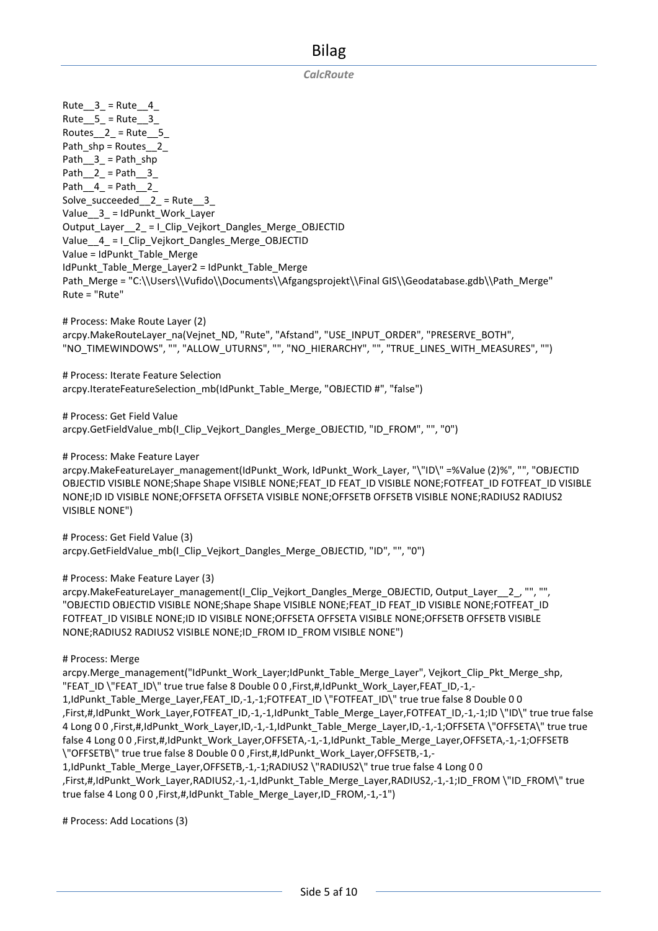*CalcRoute*

Rute  $3$  = Rute 4 Rute  $5 =$  Rute  $3$ Routes  $2 =$  Rute 5 Path\_shp = Routes\_2\_ Path $_3$  = Path\_shp Path  $_2$  = Path  $_3$ Path $\_4$  = Path $\_2$ Solve succeeded  $2$  = Rute  $3$ Value 3 = IdPunkt Work Layer Output Layer 2 = I Clip Vejkort Dangles Merge OBJECTID Value 4 = I Clip Vejkort Dangles Merge OBJECTID Value = IdPunkt\_Table\_Merge IdPunkt\_Table\_Merge\_Layer2 = IdPunkt\_Table\_Merge Path\_Merge = "C:\\Users\\Vufido\\Documents\\Afgangsprojekt\\Final GIS\\Geodatabase.gdb\\Path\_Merge" Rute = "Rute" # Process: Make Route Layer (2) arcpy.MakeRouteLayer\_na(Vejnet\_ND, "Rute", "Afstand", "USE\_INPUT\_ORDER", "PRESERVE\_BOTH", "NO\_TIMEWINDOWS", "", "ALLOW\_UTURNS", "", "NO\_HIERARCHY", "", "TRUE\_LINES\_WITH\_MEASURES", "") # Process: Iterate Feature Selection arcpy.IterateFeatureSelection\_mb(IdPunkt\_Table\_Merge, "OBJECTID #", "false") # Process: Get Field Value arcpy.GetFieldValue\_mb(I\_Clip\_Vejkort\_Dangles\_Merge\_OBJECTID, "ID\_FROM", "", "0") # Process: Make Feature Layer arcpy.MakeFeatureLayer\_management(IdPunkt\_Work, IdPunkt\_Work\_Layer, "\"ID\" =%Value (2)%", "", "OBJECTID OBJECTID VISIBLE NONE; Shape Shape VISIBLE NONE; FEAT\_ID FEAT\_ID VISIBLE NONE; FOTFEAT\_ID FOTFEAT\_ID VISIBLE NONE;ID ID VISIBLE NONE;OFFSETA OFFSETA VISIBLE NONE;OFFSETB OFFSETB VISIBLE NONE;RADIUS2 RADIUS2 VISIBLE NONE") # Process: Get Field Value (3) arcpy.GetFieldValue\_mb(I\_Clip\_Vejkort\_Dangles\_Merge\_OBJECTID, "ID", "", "0") # Process: Make Feature Layer (3) arcpy.MakeFeatureLayer\_management(I\_Clip\_Vejkort\_Dangles\_Merge\_OBJECTID, Output\_Layer\_2\_, "", "", "OBJECTID OBJECTID VISIBLE NONE;Shape Shape VISIBLE NONE;FEAT\_ID FEAT\_ID VISIBLE NONE;FOTFEAT\_ID FOTFEAT\_ID VISIBLE NONE;ID ID VISIBLE NONE;OFFSETA OFFSETA VISIBLE NONE;OFFSETB OFFSETB VISIBLE NONE;RADIUS2 RADIUS2 VISIBLE NONE;ID\_FROM ID\_FROM VISIBLE NONE") # Process: Merge arcpy.Merge\_management("IdPunkt\_Work\_Layer;IdPunkt\_Table\_Merge\_Layer", Vejkort\_Clip\_Pkt\_Merge\_shp, "FEAT\_ID \"FEAT\_ID\" true true false 8 Double 0 0 ,First,#,IdPunkt\_Work\_Layer,FEAT\_ID,-1,-1, IdPunkt\_Table\_Merge\_Layer,FEAT\_ID,-1,-1;FOTFEAT\_ID \"FOTFEAT\_ID\" true true false 8 Double 0 0 ,First,#,IdPunkt\_Work\_Layer,FOTFEAT\_ID,-1,-1,IdPunkt\_Table\_Merge\_Layer,FOTFEAT\_ID,-1,-1;ID \"ID\" true true false 4 Long 0 0 ,First,#,IdPunkt\_Work\_Layer,ID,-1,-1,IdPunkt\_Table\_Merge\_Layer,ID,-1,-1;OFFSETA \"OFFSETA\" true true false 4 Long 0 0 ,First,#,IdPunkt\_Work\_Layer,OFFSETA,-1,-1,IdPunkt\_Table\_Merge\_Layer,OFFSETA,-1,-1;OFFSETB \"OFFSETB\" true true false 8 Double 0 0 ,First,#,IdPunkt\_Work\_Layer,OFFSETB,-1,- 1,IdPunkt\_Table\_Merge\_Layer,OFFSETB,-1,-1;RADIUS2 \"RADIUS2\" true true false 4 Long 0 0 ,First,#,IdPunkt\_Work\_Layer,RADIUS2,-1,-1,IdPunkt\_Table\_Merge\_Layer,RADIUS2,-1,-1;ID\_FROM \"ID\_FROM\" true true false 4 Long 0 0 ,First,#,IdPunkt\_Table\_Merge\_Layer,ID\_FROM,-1,-1")

# Process: Add Locations (3)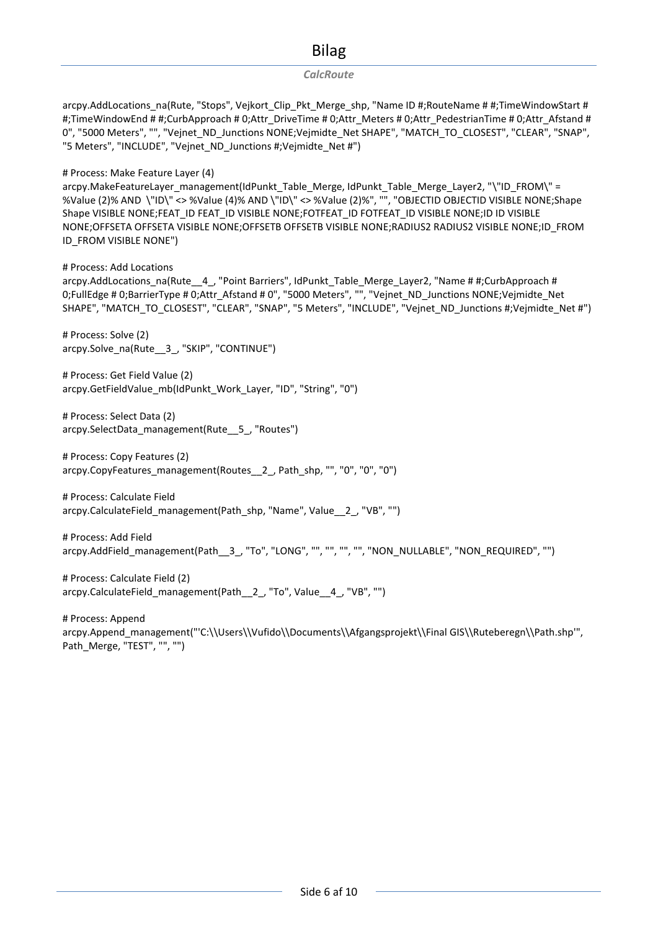#### *CalcRoute*

arcpy.AddLocations\_na(Rute, "Stops", Vejkort\_Clip\_Pkt\_Merge\_shp, "Name ID #;RouteName # #;TimeWindowStart # #;TimeWindowEnd # #;CurbApproach # 0;Attr\_DriveTime # 0;Attr\_Meters # 0;Attr\_PedestrianTime # 0;Attr\_Afstand # 0", "5000 Meters", "", "Vejnet\_ND\_Junctions NONE;Vejmidte\_Net SHAPE", "MATCH\_TO\_CLOSEST", "CLEAR", "SNAP", "5 Meters", "INCLUDE", "Vejnet\_ND\_Junctions #;Vejmidte\_Net #")

#### # Process: Make Feature Layer (4)

arcpy.MakeFeatureLayer\_management(IdPunkt\_Table\_Merge, IdPunkt\_Table\_Merge\_Layer2, "\"ID\_FROM\" = %Value (2)% AND \"ID\" <> %Value (4)% AND \"ID\" <> %Value (2)%", "", "OBJECTID OBJECTID VISIBLE NONE;Shape Shape VISIBLE NONE;FEAT\_ID FEAT\_ID VISIBLE NONE;FOTFEAT\_ID FOTFEAT\_ID VISIBLE NONE;ID ID VISIBLE NONE;OFFSETA OFFSETA VISIBLE NONE;OFFSETB OFFSETB VISIBLE NONE;RADIUS2 RADIUS2 VISIBLE NONE;ID\_FROM ID\_FROM VISIBLE NONE")

# Process: Add Locations

arcpy.AddLocations\_na(Rute\_4\_, "Point Barriers", IdPunkt\_Table\_Merge\_Layer2, "Name # #;CurbApproach # 0;FullEdge # 0;BarrierType # 0;Attr\_Afstand # 0", "5000 Meters", "", "Vejnet\_ND\_Junctions NONE;Vejmidte\_Net SHAPE", "MATCH\_TO\_CLOSEST", "CLEAR", "SNAP", "5 Meters", "INCLUDE", "Vejnet\_ND\_Junctions #;Vejmidte\_Net #")

# Process: Solve (2) arcpy.Solve\_na(Rute\_3\_, "SKIP", "CONTINUE")

# Process: Get Field Value (2) arcpy.GetFieldValue\_mb(IdPunkt\_Work\_Layer, "ID", "String", "0")

# Process: Select Data (2) arcpy.SelectData\_management(Rute\_\_5\_, "Routes")

# Process: Copy Features (2) arcpy.CopyFeatures\_management(Routes\_\_2\_, Path\_shp, "", "0", "0", "0")

# Process: Calculate Field arcpy.CalculateField\_management(Path\_shp, "Name", Value\_\_2\_, "VB", "")

# Process: Add Field arcpy.AddField\_management(Path\_3\_, "To", "LONG", "", "", "", "", "NON\_NULLABLE", "NON\_REQUIRED", "")

# Process: Calculate Field (2) arcpy.CalculateField\_management(Path\_2\_, "To", Value\_4\_, "VB", "")

# Process: Append arcpy.Append\_management("'C:\\Users\\Vufido\\Documents\\Afgangsprojekt\\Final GIS\\Ruteberegn\\Path.shp'", Path\_Merge, "TEST", "", "")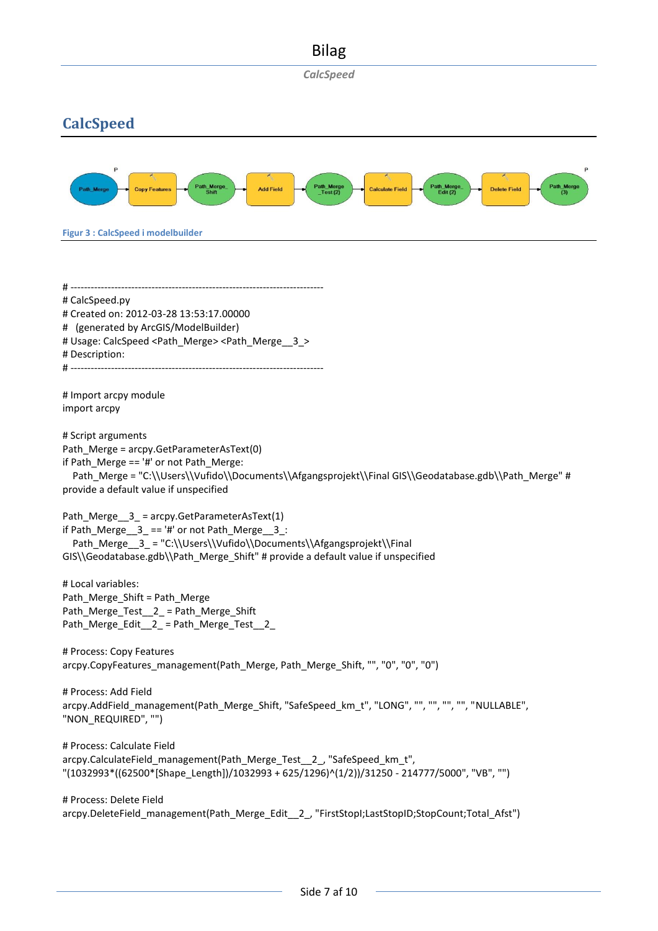*CalcSpeed*

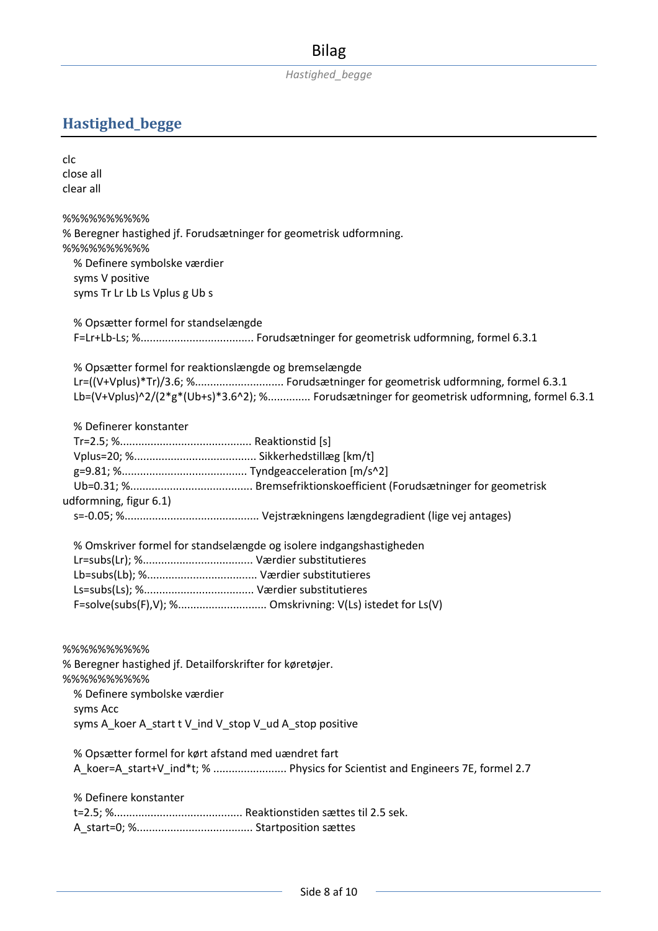# **Hastighed\_begge**

| clc                                                                                         |
|---------------------------------------------------------------------------------------------|
| close all                                                                                   |
| clear all                                                                                   |
|                                                                                             |
| %%%%%%%%%                                                                                   |
| % Beregner hastighed jf. Forudsætninger for geometrisk udformning.                          |
| %%%%%%%%%                                                                                   |
| % Definere symbolske værdier                                                                |
| syms V positive                                                                             |
| syms Tr Lr Lb Ls Vplus g Ub s                                                               |
| % Opsætter formel for standselængde                                                         |
|                                                                                             |
| % Opsætter formel for reaktionslængde og bremselængde                                       |
| Lr=((V+Vplus)*Tr)/3.6; % Forudsætninger for geometrisk udformning, formel 6.3.1             |
| Lb=(V+Vplus)^2/(2*g*(Ub+s)*3.6^2); % Forudsætninger for geometrisk udformning, formel 6.3.1 |
|                                                                                             |
| % Definerer konstanter                                                                      |
|                                                                                             |
|                                                                                             |
|                                                                                             |
|                                                                                             |
| udformning, figur 6.1)                                                                      |
|                                                                                             |
| % Omskriver formel for standselængde og isolere indgangshastigheden                         |
|                                                                                             |
|                                                                                             |
|                                                                                             |
| F=solve(subs(F),V); % Omskrivning: V(Ls) istedet for Ls(V)                                  |
|                                                                                             |
|                                                                                             |
| %%%%%%%%%                                                                                   |
| % Beregner hastighed jf. Detailforskrifter for køretøjer.                                   |
| %%%%%%%%%                                                                                   |
| % Definere symbolske værdier<br>syms Acc                                                    |
| syms A_koer A_start t V_ind V_stop V_ud A_stop positive                                     |
|                                                                                             |
| % Opsætter formel for kørt afstand med uændret fart                                         |
| A_koer=A_start+V_ind*t; %  Physics for Scientist and Engineers 7E, formel 2.7               |
|                                                                                             |
| % Definere konstanter                                                                       |
|                                                                                             |
|                                                                                             |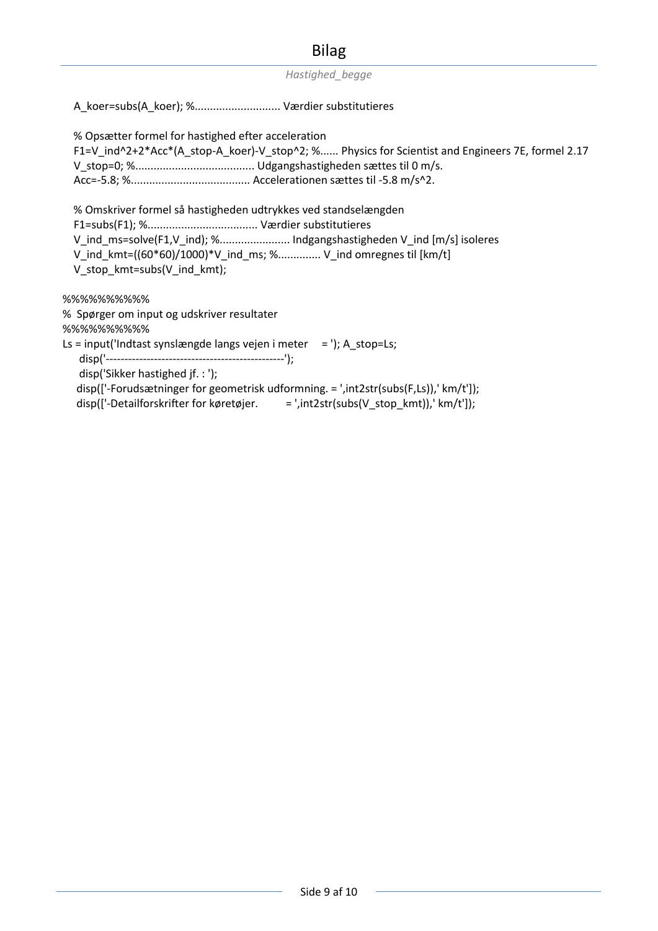*Hastighed\_begge*

A\_koer=subs(A\_koer); %............................ Værdier substitutieres

 % Opsætter formel for hastighed efter acceleration F1=V\_ind^2+2\*Acc\*(A\_stop-A\_koer)-V\_stop^2; %...... Physics for Scientist and Engineers 7E, formel 2.17 V\_stop=0; %....................................... Udgangshastigheden sættes til 0 m/s. Acc=-5.8; %....................................... Accelerationen sættes til -5.8 m/s^2. % Omskriver formel så hastigheden udtrykkes ved standselængden F1=subs(F1); %.................................... Værdier substitutieres V ind ms=solve(F1,V ind); %......................... Indgangshastigheden V ind [m/s] isoleres V\_ind\_kmt=((60\*60)/1000)\*V\_ind\_ms; %.............. V\_ind omregnes til [km/t] V\_stop\_kmt=subs(V\_ind\_kmt); %%%%%%%%%% % Spørger om input og udskriver resultater %%%%%%%%%% Ls = input('Indtast synslængde langs vejen i meter = '); A\_stop=Ls; disp('------------------------------------------------'); disp('Sikker hastighed jf. : ');

 disp(['-Forudsætninger for geometrisk udformning. = ',int2str(subs(F,Ls)),' km/t']); disp(['-Detailforskrifter for køretøjer. = ',int2str(subs(V\_stop\_kmt)),' km/t']);